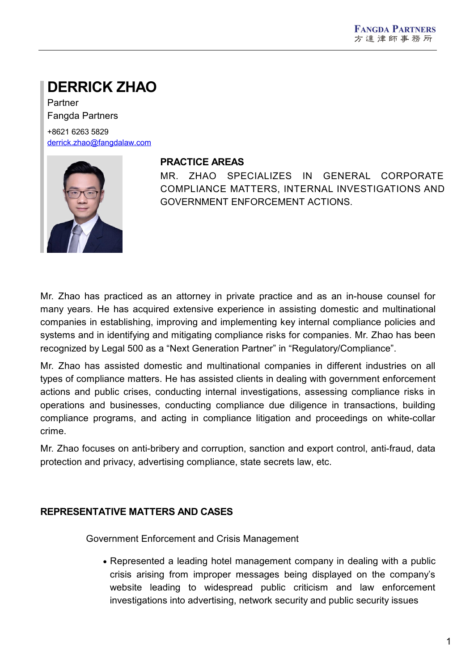# **DERRICK ZHAO**

Partner Fangda Partners

+8621 6263 5829 [derrick.zhao@fangdalaw.com](mailto:derrick.zhao@fangdalaw.com)



#### **PRACTICE AREAS**

MR. ZHAO SPECIALIZES IN GENERAL CORPORATE COMPLIANCE MATTERS, INTERNAL INVESTIGATIONS AND GOVERNMENT ENFORCEMENT ACTIONS.

Mr. Zhao has practiced as an attorney in private practice and as an in-house counsel for many years. He has acquired extensive experience in assisting domestic and multinational companies in establishing, improving and implementing key internal compliance policies and systems and in identifying and mitigating compliance risks for companies. Mr. Zhao has been recognized by Legal 500 as a "Next Generation Partner" in "Regulatory/Compliance".

Mr. Zhao has assisted domestic and multinational companies in different industries on all types of compliance matters. He has assisted clients in dealing with government enforcement actions and public crises, conducting internal investigations, assessing compliance risks in operations and businesses, conducting compliance due diligence in transactions, building compliance programs, and acting in compliance litigation and proceedings on white-collar crime.

Mr. Zhao focuses on anti-bribery and corruption, sanction and export control, anti-fraud, data protection and privacy, advertising compliance, state secrets law, etc.

## **REPRESENTATIVE MATTERS AND CASES**

Government Enforcement and Crisis Management

Represented a leading hotel management company in dealing with a public crisis arising from improper messages being displayed on the company's website leading to widespread public criticism and law enforcement investigations into advertising, network security and public security issues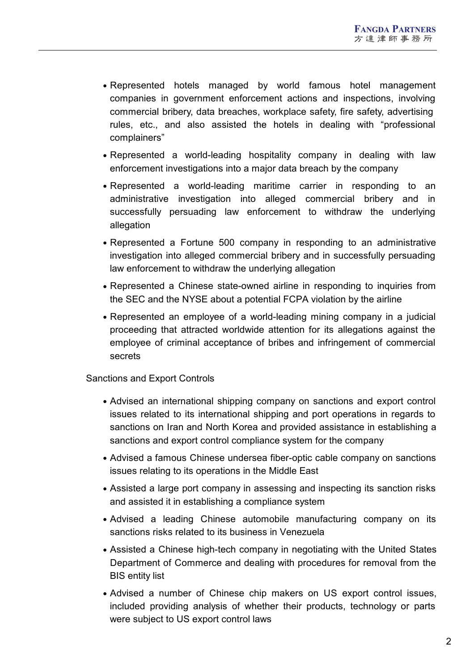- Represented hotels managed by world famous hotel management companies in government enforcement actions and inspections, involving commercial bribery, data breaches, workplace safety, fire safety, advertising rules, etc., and also assisted the hotels in dealing with "professional complainers"
- Represented a world-leading hospitality company in dealing with law enforcement investigations into a major data breach by the company
- Represented a world-leading maritime carrier in responding to an administrative investigation into alleged commercial bribery and in successfully persuading law enforcement to withdraw the underlying allegation
- Represented a Fortune 500 company in responding to an administrative investigation into alleged commercial bribery and in successfully persuading law enforcement to withdraw the underlying allegation
- Represented a Chinese state-owned airline in responding to inquiries from the SEC and the NYSE about a potential FCPA violation by the airline
- Represented an employee of a world-leading mining company in a judicial proceeding that attracted worldwide attention for its allegations against the employee of criminal acceptance of bribes and infringement of commercial secrets

## Sanctions and Export Controls

- Advised an international shipping company on sanctions and export control issues related to its international shipping and port operations in regards to sanctions on Iran and North Korea and provided assistance in establishing a sanctions and export control compliance system for the company
- Advised a famous Chinese undersea fiber-optic cable company on sanctions issues relating to its operations in the Middle East
- Assisted a large port company in assessing and inspecting its sanction risks and assisted it in establishing a compliance system
- Advised a leading Chinese automobile manufacturing company on its sanctions risks related to its business in Venezuela
- Assisted a Chinese high-tech company in negotiating with the United States Department of Commerce and dealing with procedures for removal from the BIS entity list
- Advised a number of Chinese chip makers on US export control issues, included providing analysis of whether their products, technology or parts were subject to US export control laws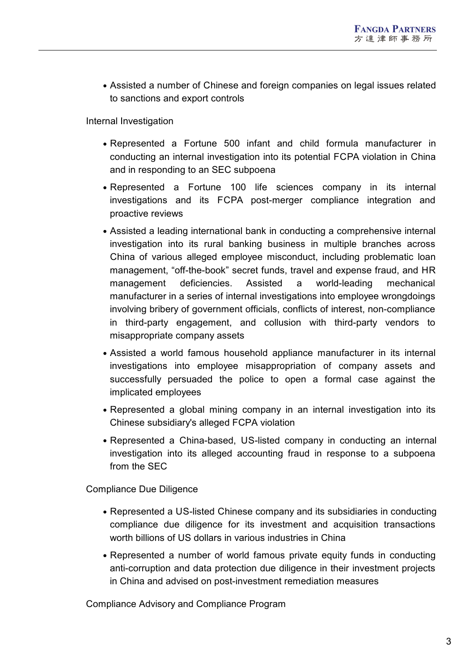Assisted a number of Chinese and foreign companies on legal issues related to sanctions and export controls

Internal Investigation

- Represented a Fortune 500 infant and child formula manufacturer in conducting an internal investigation into its potential FCPA violation in China and in responding to an SEC subpoena
- Represented a Fortune 100 life sciences company in its internal investigations and its FCPA post-merger compliance integration and proactive reviews
- Assisted a leading international bank in conducting a comprehensive internal investigation into its rural banking business in multiple branches across China of various alleged employee misconduct, including problematic loan management, "off-the-book" secret funds, travel and expense fraud, and HR management deficiencies. Assisted a world-leading mechanical manufacturer in a series of internal investigations into employee wrongdoings involving bribery of government officials, conflicts of interest, non-compliance in third-party engagement, and collusion with third-party vendors to misappropriate company assets
- Assisted a world famous household appliance manufacturer in its internal investigations into employee misappropriation of company assets and successfully persuaded the police to open a formal case against the implicated employees
- Represented a global mining company in an internal investigation into its Chinese subsidiary's alleged FCPA violation
- Represented a China-based, US-listed company in conducting an internal investigation into its alleged accounting fraud in response to a subpoena from the SEC

Compliance Due Diligence

- Represented a US-listed Chinese company and its subsidiaries in conducting compliance due diligence for its investment and acquisition transactions worth billions of US dollars in various industries in China
- Represented a number of world famous private equity funds in conducting anti-corruption and data protection due diligence in their investment projects in China and advised on post-investment remediation measures

Compliance Advisory and Compliance Program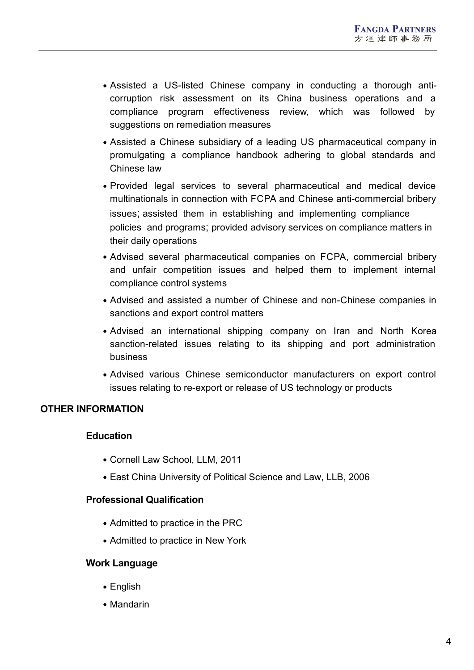- Assisted a US-listed Chinese company in conducting a thorough anticorruption risk assessment on its China business operations and a compliance program effectiveness review, which was followed by suggestions on remediation measures
- Assisted a Chinese subsidiary of a leading US pharmaceutical company in promulgating a compliance handbook adhering to global standards and Chinese law
- Provided legal services to several pharmaceutical and medical device multinationals in connection with FCPA and Chinese anti-commercial bribery issues; assisted them in establishing and implementing compliance policies and programs; provided advisory services on compliance matters in their daily operations
- Advised several pharmaceutical companies on FCPA, commercial bribery and unfair competition issues and helped them to implement internal compliance control systems
- Advised and assisted a number of Chinese and non-Chinese companies in sanctions and export control matters
- Advised an international shipping company on Iran and North Korea sanction-related issues relating to its shipping and port administration business
- Advised various Chinese semiconductor manufacturers on export control issues relating to re-export or release of US technology or products

## **OTHER INFORMATION**

## **Education**

- Cornell Law School, LLM, 2011
- East China University of Political Science and Law, LLB, 2006

## **Professional Qualification**

- Admitted to practice in the PRC
- Admitted to practice in New York

## **Work Language**

- English
- Mandarin